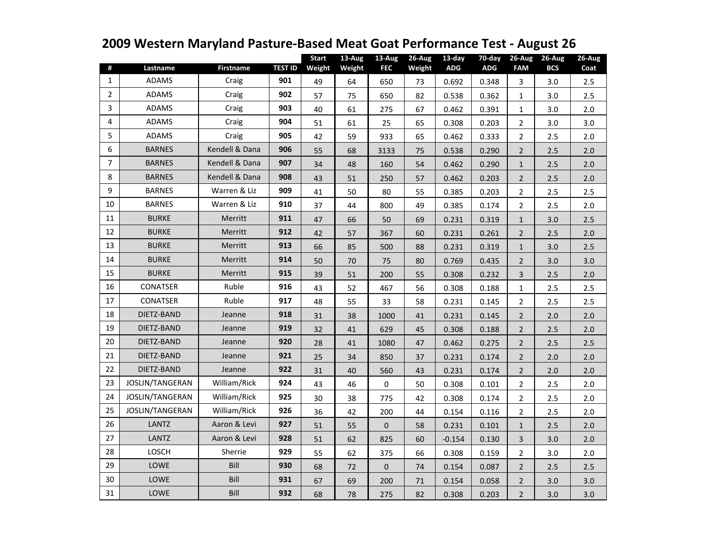| #              | Lastname               | <b>Firstname</b> | <b>TEST ID</b> | <b>Start</b><br>Weight | 13-Aug<br>Weight | $13-Aug$<br><b>FEC</b> | 26-Aug<br>Weight | 13-day<br><b>ADG</b> | 70-day<br><b>ADG</b> | 26-Aug<br><b>FAM</b> | $26$ -Aug<br><b>BCS</b> | $26-Aug$<br>Coat |
|----------------|------------------------|------------------|----------------|------------------------|------------------|------------------------|------------------|----------------------|----------------------|----------------------|-------------------------|------------------|
| $\mathbf{1}$   | <b>ADAMS</b>           | Craig            | 901            | 49                     | 64               | 650                    | 73               | 0.692                | 0.348                | 3                    | 3.0                     | 2.5              |
| $\overline{2}$ | <b>ADAMS</b>           | Craig            | 902            | 57                     | 75               | 650                    | 82               | 0.538                | 0.362                | $\mathbf{1}$         | 3.0                     | 2.5              |
| 3              | <b>ADAMS</b>           | Craig            | 903            | 40                     | 61               | 275                    | 67               | 0.462                | 0.391                | 1                    | 3.0                     | 2.0              |
| $\overline{4}$ | ADAMS                  | Craig            | 904            | 51                     | 61               | 25                     | 65               | 0.308                | 0.203                | $\overline{2}$       | 3.0                     | 3.0              |
| 5              | <b>ADAMS</b>           | Craig            | 905            | 42                     | 59               | 933                    | 65               | 0.462                | 0.333                | $\overline{2}$       | 2.5                     | 2.0              |
| 6              | <b>BARNES</b>          | Kendell & Dana   | 906            | 55                     | 68               | 3133                   | 75               | 0.538                | 0.290                | $\overline{2}$       | 2.5                     | 2.0              |
| 7              | <b>BARNES</b>          | Kendell & Dana   | 907            | 34                     | 48               | 160                    | 54               | 0.462                | 0.290                | $\mathbf{1}$         | 2.5                     | 2.0              |
| 8              | <b>BARNES</b>          | Kendell & Dana   | 908            | 43                     | 51               | 250                    | 57               | 0.462                | 0.203                | $\overline{2}$       | 2.5                     | 2.0              |
| 9              | <b>BARNES</b>          | Warren & Liz     | 909            | 41                     | 50               | 80                     | 55               | 0.385                | 0.203                | $\overline{2}$       | 2.5                     | 2.5              |
| 10             | <b>BARNES</b>          | Warren & Liz     | 910            | 37                     | 44               | 800                    | 49               | 0.385                | 0.174                | $\overline{2}$       | 2.5                     | 2.0              |
| 11             | <b>BURKE</b>           | Merritt          | 911            | 47                     | 66               | 50                     | 69               | 0.231                | 0.319                | $\mathbf{1}$         | 3.0                     | 2.5              |
| 12             | <b>BURKE</b>           | Merritt          | 912            | 42                     | 57               | 367                    | 60               | 0.231                | 0.261                | $\overline{2}$       | 2.5                     | 2.0              |
| 13             | <b>BURKE</b>           | Merritt          | 913            | 66                     | 85               | 500                    | 88               | 0.231                | 0.319                | $\mathbf{1}$         | 3.0                     | 2.5              |
| 14             | <b>BURKE</b>           | Merritt          | 914            | 50                     | 70               | 75                     | 80               | 0.769                | 0.435                | $\overline{2}$       | 3.0                     | 3.0              |
| 15             | <b>BURKE</b>           | Merritt          | 915            | 39                     | 51               | 200                    | 55               | 0.308                | 0.232                | 3                    | 2.5                     | 2.0              |
| 16             | <b>CONATSER</b>        | Ruble            | 916            | 43                     | 52               | 467                    | 56               | 0.308                | 0.188                | $\mathbf{1}$         | 2.5                     | 2.5              |
| 17             | <b>CONATSER</b>        | Ruble            | 917            | 48                     | 55               | 33                     | 58               | 0.231                | 0.145                | $\overline{2}$       | 2.5                     | 2.5              |
| 18             | DIETZ-BAND             | Jeanne           | 918            | 31                     | 38               | 1000                   | 41               | 0.231                | 0.145                | $\overline{2}$       | 2.0                     | 2.0              |
| 19             | DIETZ-BAND             | Jeanne           | 919            | 32                     | 41               | 629                    | 45               | 0.308                | 0.188                | $\mathbf 2$          | 2.5                     | 2.0              |
| 20             | DIETZ-BAND             | Jeanne           | 920            | 28                     | 41               | 1080                   | 47               | 0.462                | 0.275                | $\overline{2}$       | 2.5                     | 2.5              |
| 21             | DIETZ-BAND             | Jeanne           | 921            | 25                     | 34               | 850                    | 37               | 0.231                | 0.174                | $\overline{2}$       | 2.0                     | 2.0              |
| 22             | DIETZ-BAND             | Jeanne           | 922            | 31                     | 40               | 560                    | 43               | 0.231                | 0.174                | $\overline{2}$       | 2.0                     | 2.0              |
| 23             | <b>JOSLIN/TANGERAN</b> | William/Rick     | 924            | 43                     | 46               | 0                      | 50               | 0.308                | 0.101                | $\overline{2}$       | 2.5                     | 2.0              |
| 24             | JOSLIN/TANGERAN        | William/Rick     | 925            | 30                     | 38               | 775                    | 42               | 0.308                | 0.174                | $\overline{2}$       | 2.5                     | 2.0              |
| 25             | <b>JOSLIN/TANGERAN</b> | William/Rick     | 926            | 36                     | 42               | 200                    | 44               | 0.154                | 0.116                | $\overline{2}$       | 2.5                     | 2.0              |
| 26             | <b>LANTZ</b>           | Aaron & Levi     | 927            | 51                     | 55               | $\overline{0}$         | 58               | 0.231                | 0.101                | $\mathbf{1}$         | 2.5                     | 2.0              |
| 27             | <b>LANTZ</b>           | Aaron & Levi     | 928            | 51                     | 62               | 825                    | 60               | $-0.154$             | 0.130                | 3                    | 3.0                     | 2.0              |
| 28             | LOSCH                  | Sherrie          | 929            | 55                     | 62               | 375                    | 66               | 0.308                | 0.159                | $\overline{2}$       | 3.0                     | 2.0              |
| 29             | LOWE                   | Bill             | 930            | 68                     | 72               | $\mathbf{0}$           | 74               | 0.154                | 0.087                | $\overline{2}$       | 2.5                     | 2.5              |
| 30             | LOWE                   | Bill             | 931            | 67                     | 69               | 200                    | 71               | 0.154                | 0.058                | $\overline{2}$       | 3.0                     | 3.0              |
| 31             | LOWE                   | Bill             | 932            | 68                     | 78               | 275                    | 82               | 0.308                | 0.203                | $\overline{2}$       | 3.0                     | 3.0              |

## **2009 Western Maryland Pasture-Based Meat Goat Performance Test - August 26**